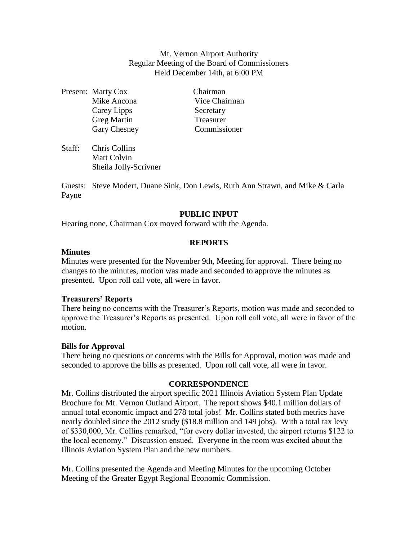Mt. Vernon Airport Authority Regular Meeting of the Board of Commissioners Held December 14th, at 6:00 PM

Present: Marty Cox Chairman Carey Lipps Secretary Greg Martin Treasurer Gary Chesney Commissioner

Mike Ancona Vice Chairman

Staff: Chris Collins Matt Colvin Sheila Jolly-Scrivner

Guests: Steve Modert, Duane Sink, Don Lewis, Ruth Ann Strawn, and Mike & Carla Payne

# **PUBLIC INPUT**

Hearing none, Chairman Cox moved forward with the Agenda.

### **REPORTS**

### **Minutes**

Minutes were presented for the November 9th, Meeting for approval. There being no changes to the minutes, motion was made and seconded to approve the minutes as presented. Upon roll call vote, all were in favor.

# **Treasurers' Reports**

There being no concerns with the Treasurer's Reports, motion was made and seconded to approve the Treasurer's Reports as presented. Upon roll call vote, all were in favor of the motion.

# **Bills for Approval**

There being no questions or concerns with the Bills for Approval, motion was made and seconded to approve the bills as presented. Upon roll call vote, all were in favor.

# **CORRESPONDENCE**

Mr. Collins distributed the airport specific 2021 Illinois Aviation System Plan Update Brochure for Mt. Vernon Outland Airport. The report shows \$40.1 million dollars of annual total economic impact and 278 total jobs! Mr. Collins stated both metrics have nearly doubled since the 2012 study (\$18.8 million and 149 jobs). With a total tax levy of \$330,000, Mr. Collins remarked, "for every dollar invested, the airport returns \$122 to the local economy." Discussion ensued. Everyone in the room was excited about the Illinois Aviation System Plan and the new numbers.

Mr. Collins presented the Agenda and Meeting Minutes for the upcoming October Meeting of the Greater Egypt Regional Economic Commission.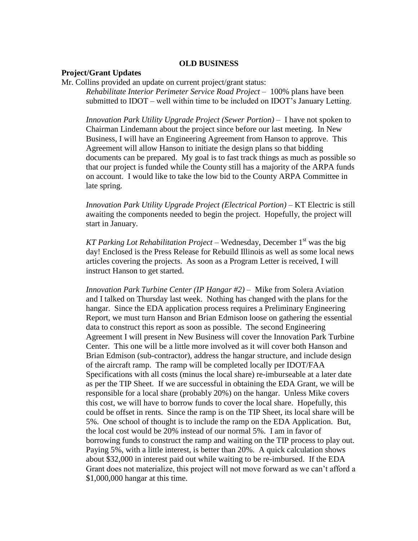### **OLD BUSINESS**

### **Project/Grant Updates**

Mr. Collins provided an update on current project/grant status: *Rehabilitate Interior Perimeter Service Road Project* – 100% plans have been submitted to IDOT – well within time to be included on IDOT's January Letting.

*Innovation Park Utility Upgrade Project (Sewer Portion) –* I have not spoken to Chairman Lindemann about the project since before our last meeting. In New Business, I will have an Engineering Agreement from Hanson to approve. This Agreement will allow Hanson to initiate the design plans so that bidding documents can be prepared. My goal is to fast track things as much as possible so that our project is funded while the County still has a majority of the ARPA funds on account. I would like to take the low bid to the County ARPA Committee in late spring.

*Innovation Park Utility Upgrade Project (Electrical Portion) –* KT Electric is still awaiting the components needed to begin the project. Hopefully, the project will start in January.

*KT Parking Lot Rehabilitation Project* – Wednesday, December 1<sup>st</sup> was the big day! Enclosed is the Press Release for Rebuild Illinois as well as some local news articles covering the projects. As soon as a Program Letter is received, I will instruct Hanson to get started.

*Innovation Park Turbine Center (IP Hangar #2)* – Mike from Solera Aviation and I talked on Thursday last week. Nothing has changed with the plans for the hangar. Since the EDA application process requires a Preliminary Engineering Report, we must turn Hanson and Brian Edmison loose on gathering the essential data to construct this report as soon as possible. The second Engineering Agreement I will present in New Business will cover the Innovation Park Turbine Center. This one will be a little more involved as it will cover both Hanson and Brian Edmison (sub-contractor), address the hangar structure, and include design of the aircraft ramp. The ramp will be completed locally per IDOT/FAA Specifications with all costs (minus the local share) re-imburseable at a later date as per the TIP Sheet. If we are successful in obtaining the EDA Grant, we will be responsible for a local share (probably 20%) on the hangar. Unless Mike covers this cost, we will have to borrow funds to cover the local share. Hopefully, this could be offset in rents. Since the ramp is on the TIP Sheet, its local share will be 5%. One school of thought is to include the ramp on the EDA Application. But, the local cost would be 20% instead of our normal 5%. I am in favor of borrowing funds to construct the ramp and waiting on the TIP process to play out. Paying 5%, with a little interest, is better than 20%. A quick calculation shows about \$32,000 in interest paid out while waiting to be re-imbursed. If the EDA Grant does not materialize, this project will not move forward as we can't afford a \$1,000,000 hangar at this time.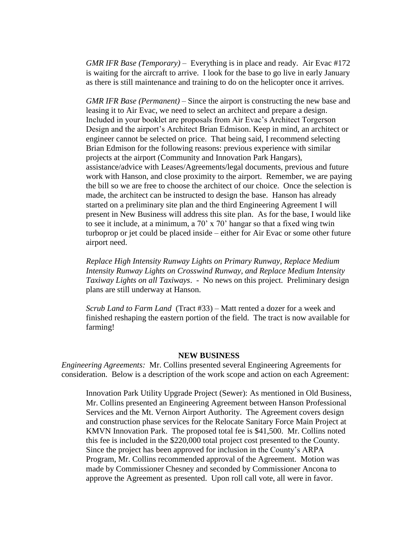*GMR IFR Base (Temporary)* – Everything is in place and ready. Air Evac #172 is waiting for the aircraft to arrive. I look for the base to go live in early January as there is still maintenance and training to do on the helicopter once it arrives.

*GMR IFR Base (Permanent) –* Since the airport is constructing the new base and leasing it to Air Evac, we need to select an architect and prepare a design. Included in your booklet are proposals from Air Evac's Architect Torgerson Design and the airport's Architect Brian Edmison. Keep in mind, an architect or engineer cannot be selected on price. That being said, I recommend selecting Brian Edmison for the following reasons: previous experience with similar projects at the airport (Community and Innovation Park Hangars), assistance/advice with Leases/Agreements/legal documents, previous and future work with Hanson, and close proximity to the airport. Remember, we are paying the bill so we are free to choose the architect of our choice. Once the selection is made, the architect can be instructed to design the base. Hanson has already started on a preliminary site plan and the third Engineering Agreement I will present in New Business will address this site plan. As for the base, I would like to see it include, at a minimum, a 70' x 70' hangar so that a fixed wing twin turboprop or jet could be placed inside – either for Air Evac or some other future airport need.

*Replace High Intensity Runway Lights on Primary Runway, Replace Medium Intensity Runway Lights on Crosswind Runway, and Replace Medium Intensity Taxiway Lights on all Taxiways*. - No news on this project. Preliminary design plans are still underway at Hanson.

*Scrub Land to Farm Land* (Tract #33) – Matt rented a dozer for a week and finished reshaping the eastern portion of the field. The tract is now available for farming!

#### **NEW BUSINESS**

*Engineering Agreements:* Mr. Collins presented several Engineering Agreements for consideration. Below is a description of the work scope and action on each Agreement:

Innovation Park Utility Upgrade Project (Sewer): As mentioned in Old Business, Mr. Collins presented an Engineering Agreement between Hanson Professional Services and the Mt. Vernon Airport Authority. The Agreement covers design and construction phase services for the Relocate Sanitary Force Main Project at KMVN Innovation Park. The proposed total fee is \$41,500. Mr. Collins noted this fee is included in the \$220,000 total project cost presented to the County. Since the project has been approved for inclusion in the County's ARPA Program, Mr. Collins recommended approval of the Agreement. Motion was made by Commissioner Chesney and seconded by Commissioner Ancona to approve the Agreement as presented. Upon roll call vote, all were in favor.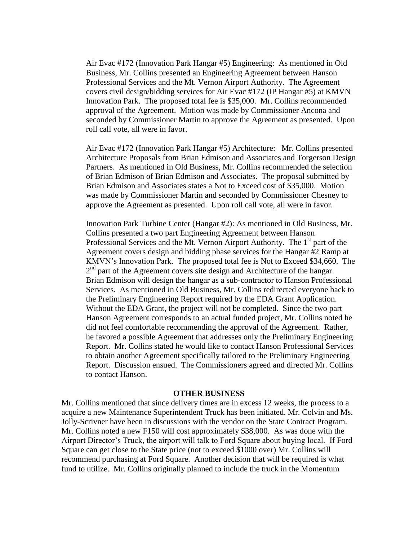Air Evac #172 (Innovation Park Hangar #5) Engineering: As mentioned in Old Business, Mr. Collins presented an Engineering Agreement between Hanson Professional Services and the Mt. Vernon Airport Authority. The Agreement covers civil design/bidding services for Air Evac #172 (IP Hangar #5) at KMVN Innovation Park. The proposed total fee is \$35,000. Mr. Collins recommended approval of the Agreement. Motion was made by Commissioner Ancona and seconded by Commissioner Martin to approve the Agreement as presented. Upon roll call vote, all were in favor.

Air Evac #172 (Innovation Park Hangar #5) Architecture: Mr. Collins presented Architecture Proposals from Brian Edmison and Associates and Torgerson Design Partners. As mentioned in Old Business, Mr. Collins recommended the selection of Brian Edmison of Brian Edmison and Associates. The proposal submitted by Brian Edmison and Associates states a Not to Exceed cost of \$35,000. Motion was made by Commissioner Martin and seconded by Commissioner Chesney to approve the Agreement as presented. Upon roll call vote, all were in favor.

Innovation Park Turbine Center (Hangar #2): As mentioned in Old Business, Mr. Collins presented a two part Engineering Agreement between Hanson Professional Services and the Mt. Vernon Airport Authority. The 1<sup>st</sup> part of the Agreement covers design and bidding phase services for the Hangar #2 Ramp at KMVN's Innovation Park. The proposed total fee is Not to Exceed \$34,660. The 2<sup>nd</sup> part of the Agreement covers site design and Architecture of the hangar. Brian Edmison will design the hangar as a sub-contractor to Hanson Professional Services. As mentioned in Old Business, Mr. Collins redirected everyone back to the Preliminary Engineering Report required by the EDA Grant Application. Without the EDA Grant, the project will not be completed. Since the two part Hanson Agreement corresponds to an actual funded project, Mr. Collins noted he did not feel comfortable recommending the approval of the Agreement. Rather, he favored a possible Agreement that addresses only the Preliminary Engineering Report. Mr. Collins stated he would like to contact Hanson Professional Services to obtain another Agreement specifically tailored to the Preliminary Engineering Report. Discussion ensued. The Commissioners agreed and directed Mr. Collins to contact Hanson.

#### **OTHER BUSINESS**

Mr. Collins mentioned that since delivery times are in excess 12 weeks, the process to a acquire a new Maintenance Superintendent Truck has been initiated. Mr. Colvin and Ms. Jolly-Scrivner have been in discussions with the vendor on the State Contract Program. Mr. Collins noted a new F150 will cost approximately \$38,000. As was done with the Airport Director's Truck, the airport will talk to Ford Square about buying local. If Ford Square can get close to the State price (not to exceed \$1000 over) Mr. Collins will recommend purchasing at Ford Square. Another decision that will be required is what fund to utilize. Mr. Collins originally planned to include the truck in the Momentum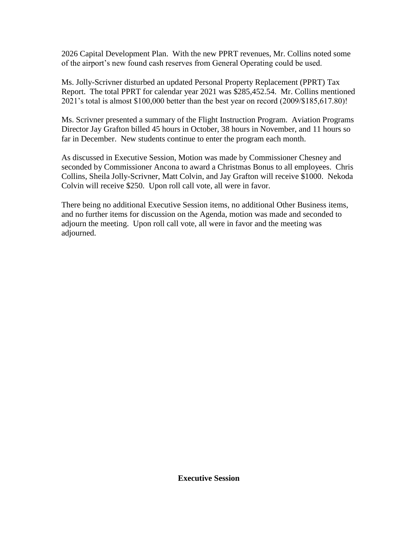2026 Capital Development Plan. With the new PPRT revenues, Mr. Collins noted some of the airport's new found cash reserves from General Operating could be used.

Ms. Jolly-Scrivner disturbed an updated Personal Property Replacement (PPRT) Tax Report. The total PPRT for calendar year 2021 was \$285,452.54. Mr. Collins mentioned 2021's total is almost \$100,000 better than the best year on record (2009/\$185,617.80)!

Ms. Scrivner presented a summary of the Flight Instruction Program. Aviation Programs Director Jay Grafton billed 45 hours in October, 38 hours in November, and 11 hours so far in December. New students continue to enter the program each month.

As discussed in Executive Session, Motion was made by Commissioner Chesney and seconded by Commissioner Ancona to award a Christmas Bonus to all employees. Chris Collins, Sheila Jolly-Scrivner, Matt Colvin, and Jay Grafton will receive \$1000. Nekoda Colvin will receive \$250. Upon roll call vote, all were in favor.

There being no additional Executive Session items, no additional Other Business items, and no further items for discussion on the Agenda, motion was made and seconded to adjourn the meeting. Upon roll call vote, all were in favor and the meeting was adjourned.